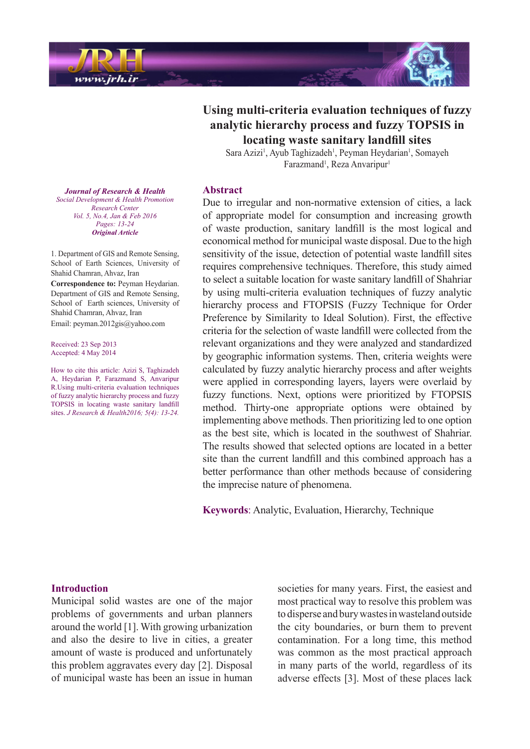

# **Using multi-criteria evaluation techniques of fuzzy** analytic hierarchy process and fuzzy TOPSIS in **locating** waste sanitary landfill sites

Sara Azizi<sup>1</sup>, Ayub Taghizadeh<sup>1</sup>, Peyman Heydarian<sup>1</sup>, Somayeh Farazmand<sup>1</sup>, Reza Anvaripur<sup>1</sup>

#### **Abstract**

Due to irregular and non-normative extension of cities, a lack of appropriate model for consumption and increasing growth of waste production, sanitary landfill is the most logical and economical method for municipal waste disposal. Due to the high sensitivity of the issue, detection of potential waste landfill sites requires comprehensive techniques. Therefore, this study aimed to select a suitable location for waste sanitary landfill of Shahriar by using multi-criteria evaluation techniques of fuzzy analytic hierarchy process and FTOPSIS (Fuzzy Technique for Order Preference by Similarity to Ideal Solution). First, the effective criteria for the selection of waste landfill were collected from the relevant organizations and they were analyzed and standardized by geographic information systems. Then, criteria weights were calculated by fuzzy analytic hierarchy process and after weights were applied in corresponding layers, layers were overlaid by fuzzy functions. Next, options were prioritized by FTOPSIS method. Thirty-one appropriate options were obtained by implementing above methods. Then prioritizing led to one option as the best site, which is located in the southwest of Shahriar. The results showed that selected options are located in a better site than the current landfill and this combined approach has a better performance than other methods because of considering the imprecise nature of phenomena.

Keywords: Analytic, Evaluation, Hierarchy, Technique

**Journal of Research & Health**  *Promotion Health & Development Social Center Research Vol. 5, No.4, Jan & Feb 2016* Pages: 13-24 *Article Original*

1. Department of GIS and Remote Sensing, School of Earth Sciences, University of Shahid Chamran, Ahvaz, Iran

**Correspondence to: Peyman Heydarian.** Department of GIS and Remote Sensing, School of Earth sciences, University of Shahid Chamran, Ahvaz, Iran Email: peyman.2012gis@yahoo.com

Received: 23 Sep 2013 Accepted: 4 May 2014

How to cite this article: Azizi S, Taghizadeh A, Heydarian P, Farazmand S, Anvaripur R. Using multi-criteria-evaluation techniques of fuzzy analytic hierarchy process and fuzzy TOPSIS in locating waste sanitary landfill sites. *J Research & Health 2016*; 5(4): 13-24.

#### **Introduction**

Municipal solid wastes are one of the major problems of governments and urban planners around the world  $[1]$ . With growing urbanization and also the desire to live in cities, a greater amount of waste is produced and unfortunately this problem aggravates every day [2]. Disposal of municipal waste has been an issue in human societies for many years. First, the easiest and most practical way to resolve this problem was to disperse and bury wastes in wasteland outside the city boundaries, or burn them to prevent contamination. For a long time, this method was common as the most practical approach in many parts of the world, regardless of its adverse effects [3]. Most of these places lack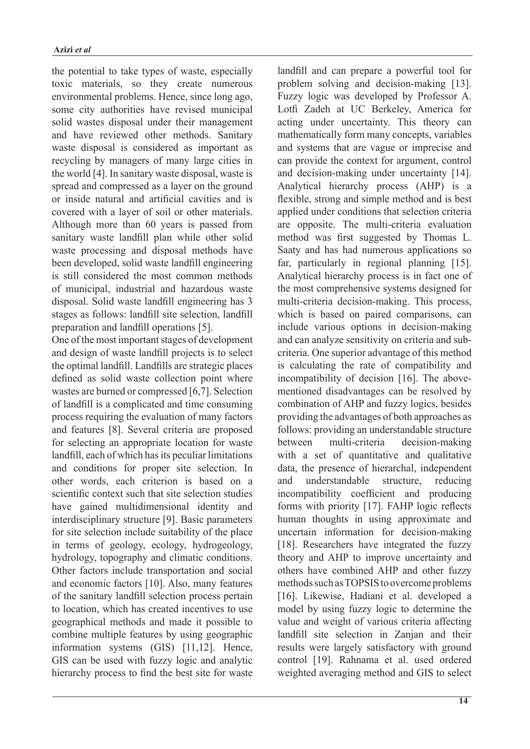the potential to take types of waste, especially toxic materials, so they create numerous environmental problems. Hence, since long ago, some city authorities have revised municipal solid wastes disposal under their management and have reviewed other methods. Sanitary waste disposal is considered as important as recycling by managers of many large cities in the world [4]. In sanitary waste disposal, waste is spread and compressed as a layer on the ground or inside natural and artificial cavities and is covered with a layer of soil or other materials. Although more than  $60$  years is passed from sanitary waste landfill plan while other solid waste processing and disposal methods have been developed, solid waste landfill engineering is still considered the most common methods of municipal, industrial and hazardous waste disposal. Solid waste landfill engineering has 3 stages as follows: landfill site selection, landfill preparation and landfill operations [5].

One of the most important stages of development and design of waste landfill projects is to select the optimal landfill. Landfills are strategic places defined as solid waste collection point where wastes are burned or compressed  $[6,7]$ . Selection of landfill is a complicated and time consuming process requiring the evaluation of many factors and features [8]. Several criteria are proposed for selecting an appropriate location for waste landfill, each of which has its peculiar limitations and conditions for proper site selection. In other words, each criterion is based on a scientific context such that site selection studies have gained multidimensional identity and interdisciplinary structure [9]. Basic parameters for site selection include suitability of the place in terms of geology, ecology, hydrogeology, hydrology, topography and climatic conditions. Other factors include transportation and social and economic factors [10]. Also, many features of the sanitary landfill selection process pertain to location, which has created incentives to use geographical methods and made it possible to combine multiple features by using geographic information systems  $(GIS)$  [11,12]. Hence, GIS can be used with fuzzy logic and analytic hierarchy process to find the best site for waste landfill and can prepare a powerful tool for problem solving and decision-making [13]. Fuzzy logic was developed by Professor A. Lotfi Zadeh at UC Berkeley, America for acting under uncertainty. This theory can mathematically form many concepts, variables and systems that are vague or imprecise and can provide the context for argument, control and decision-making under uncertainty  $[14]$ . Analytical hierarchy process (AHP) is a flexible, strong and simple method and is best applied under conditions that selection criteria are opposite. The multi-criteria evaluation method was first suggested by Thomas L. Saaty and has had numerous applications so far, particularly in regional planning  $[15]$ . Analytical hierarchy process is in fact one of the most comprehensive systems designed for multi-criteria decision-making. This process, which is based on paired comparisons, can include various options in decision-making criteria. One superior advantage of this method and can analyze sensitivity on criteria and subis calculating the rate of compatibility and mentioned disadvantages can be resolved by incompatibility of decision  $[16]$ . The abovecombination of AHP and fuzzy logics, besides providing the advantages of both approaches as follows: providing an understandable structure between multi-criteria decision-making with a set of quantitative and qualitative data, the presence of hierarchal, independent and understandable structure, reducing incompatibility coefficient and producing forms with priority  $[17]$ . FAHP logic reflects human thoughts in using approximate and uncertain information for decision-making [18]. Researchers have integrated the fuzzy theory and AHP to improve uncertainty and others have combined AHP and other fuzzy methods such as TOPSIS to overcome problems [16]. Likewise, Hadiani et al. developed a model by using fuzzy logic to determine the value and weight of various criteria affecting landfill site selection in Zanjan and their results were largely satisfactory with ground control [19]. Rahnama et al. used ordered weighted averaging method and GIS to select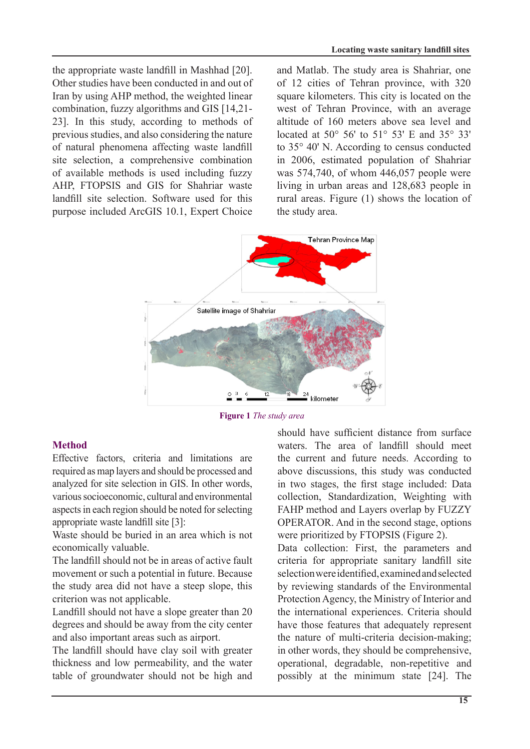the appropriate waste landfill in Mashhad [20]. Other studies have been conducted in and out of Iran by using AHP method, the weighted linear combination, fuzzy algorithms and GIS  $[14,21]$ 23]. In this study, according to methods of previous studies, and also considering the nature of natural phenomena affecting waste landfill site selection, a comprehensive combination of available methods is used including fuzzy AHP, FTOPSIS and GIS for Shahriar waste landfill site selection. Software used for this purpose included ArcGIS 10.1, Expert Choice

and Matlab. The study area is Shahriar, one of 12 cities of Tehran province, with 320 square kilometers. This city is located on the west of Tehran Province, with an average altitude of 160 meters above sea level and located at 50 $^{\circ}$  56' to 51 $^{\circ}$  53' E and 35 $^{\circ}$  33' to  $35^{\circ}$  40' N. According to census conducted in 2006, estimated population of Shahriar was  $574,740$ , of whom  $446,057$  people were living in urban areas and  $128,683$  people in rural areas. Figure  $(1)$  shows the location of the study area.



**Figure 1** The study area

# **Method**

Effective factors, criteria and limitations are required as map layers and should be processed and analyzed for site selection in GIS. In other words, various socioeconomic, cultural and environmental aspects in each region should be noted for selecting appropriate waste landfill site [3]:

Waste should be buried in an area which is not economically valuable.

The landfill should not be in areas of active fault movement or such a potential in future. Because the study area did not have a steep slope, this criterion was not applicable.

Landfill should not have a slope greater than 20 degrees and should be away from the city center and also important areas such as airport.

The landfill should have clay soil with greater thickness and low permeability, and the water table of groundwater should not be high and should have sufficient distance from surface waters. The area of landfill should meet the current and future needs. According to above discussions, this study was conducted in two stages, the first stage included: Data collection, Standardization, Weighting with FAHP method and Layers overlap by FUZZY OPERATOR. And in the second stage, options were prioritized by FTOPSIS (Figure 2).

Data collection: First, the parameters and criteria for appropriate sanitary landfill site selection were identified, examined and selected by reviewing standards of the Environmental Protection Agency, the Ministry of Interior and the international experiences. Criteria should have those features that adequately represent the nature of multi-criteria decision-making; in other words, they should be comprehensive, operational, degradable, non-repetitive and possibly at the minimum state [24]. The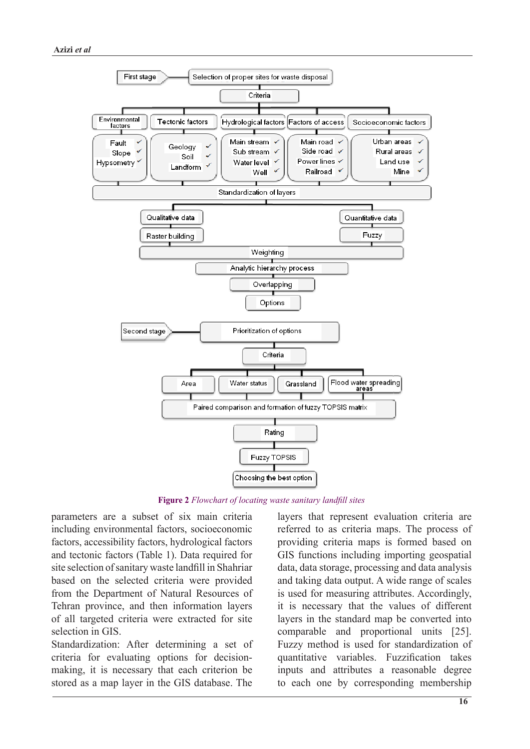

**Figure 2** Flowchart of locating waste sanitary landfill sites

parameters are a subset of six main criteria including environmental factors, socioeconomic factors, accessibility factors, hydrological factors and tectonic factors (Table 1). Data required for site selection of sanitary waste landfill in Shahriar based on the selected criteria were provided from the Department of Natural Resources of Tehran province, and then information layers of all targeted criteria were extracted for site selection in GIS

Standardization: After determining a set of making, it is necessary that each criterion be criteria for evaluating options for decisionstored as a map layer in the GIS database. The

layers that represent evaluation criteria are referred to as criteria maps. The process of providing criteria maps is formed based on GIS functions including importing geospatial data, data storage, processing and data analysis and taking data output. A wide range of scales is used for measuring attributes. Accordingly, it is necessary that the values of different layers in the standard map be converted into comparable and proportional units  $[25]$ . Fuzzy method is used for standardization of quantitative variables. Fuzzification takes inputs and attributes a reasonable degree to each one by corresponding membership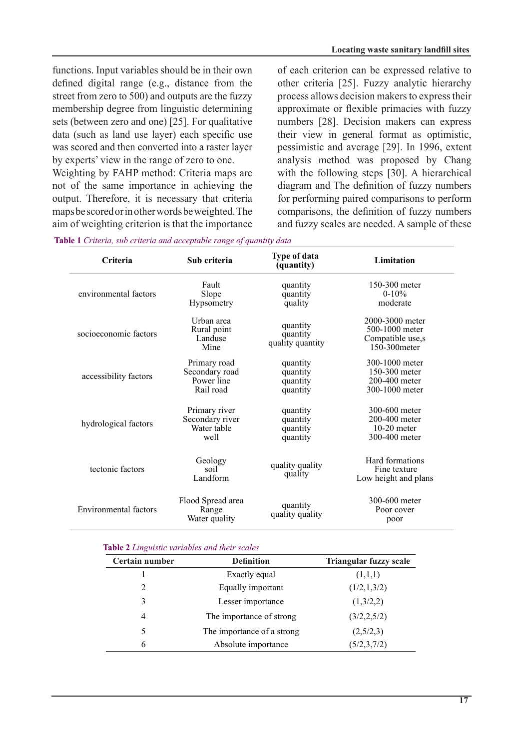functions. Input variables should be in their own defined digital range (e.g., distance from the street from zero to  $500$ ) and outputs are the fuzzy membership degree from linguistic determining sets (between zero and one) [25]. For qualitative data (such as land use layer) each specific use was scored and then converted into a raster laver by experts' view in the range of zero to one.

Weighting by FAHP method: Criteria maps are not of the same importance in achieving the output. Therefore, it is necessary that criteria maps be scored or in other words be weighted. The aim of weighting criterion is that the importance of each criterion can be expressed relative to other criteria [25]. Fuzzy analytic hierarchy process allows decision makers to express their approximate or flexible primacies with fuzzy numbers [28]. Decision makers can express their view in general format as optimistic. pessimistic and average [29]. In 1996, extent analysis method was proposed by Chang with the following steps  $\begin{bmatrix} 30 \\ 0 \end{bmatrix}$ . A hierarchical diagram and The definition of fuzzy numbers for performing paired comparisons to perform comparisons, the definition of fuzzy numbers and fuzzy scales are needed. A sample of these

| Table 1 Criteria, sub criteria and acceptable range of quantity data |  |  |
|----------------------------------------------------------------------|--|--|
|----------------------------------------------------------------------|--|--|

| <b>Criteria</b>              | Sub criteria                                              | Type of data<br>(quantity)                   | Limitation                                                             |
|------------------------------|-----------------------------------------------------------|----------------------------------------------|------------------------------------------------------------------------|
| environmental factors        | Fault<br>Slope<br>Hypsometry                              | quantity<br>quantity<br>quality              | 150-300 meter<br>$0-10%$<br>moderate                                   |
| socioeconomic factors        | Urban area<br>Rural point<br>Landuse<br>Mine              | quantity<br>quantity<br>quality quantity     | 2000-3000 meter<br>500-1000 meter<br>Compatible use,s<br>150-300 meter |
| accessibility factors        | Primary road<br>Secondary road<br>Power line<br>Rail road | quantity<br>quantity<br>quantity<br>quantity | 300-1000 meter<br>150-300 meter<br>200-400 meter<br>300-1000 meter     |
| hydrological factors         | Primary river<br>Secondary river<br>Water table<br>well   | quantity<br>quantity<br>quantity<br>quantity | 300-600 meter<br>200-400 meter<br>$10-20$ meter<br>300-400 meter       |
| tectonic factors             | Geology<br>soil<br>Landform                               | quality quality<br>quality                   | Hard formations<br>Fine texture<br>Low height and plans                |
| <b>Environmental factors</b> | Flood Spread area<br>Range<br>Water quality               | quantity<br>quality quality                  | 300-600 meter<br>Poor cover<br>poor                                    |

#### **Table 2** Linguistic variables and their scales

| Certain number | <b>Definition</b>          | <b>Triangular fuzzy scale</b> |  |
|----------------|----------------------------|-------------------------------|--|
|                | Exactly equal              | (1,1,1)                       |  |
|                | Equally important          | (1/2,1,3/2)                   |  |
|                | Lesser importance          | (1,3/2,2)                     |  |
| 4              | The importance of strong   | (3/2, 2, 5/2)                 |  |
|                | The importance of a strong | (2,5/2,3)                     |  |
| 6              | Absolute importance        | (5/2,3,7/2)                   |  |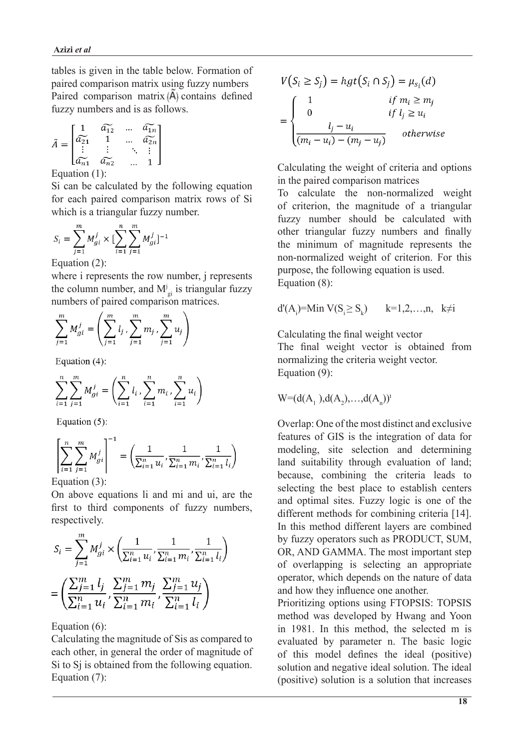tables is given in the table below. Formation of paired comparison matrix using fuzzy numbers Paired comparison matrix  $\langle \tilde{A} \rangle$  contains defined fuzzy numbers and is as follows.

$$
\tilde{A} = \begin{bmatrix}\n1 & \widetilde{a_{12}} & \dots & \widetilde{a_{1n}} \\
\widetilde{a_{21}} & 1 & \dots & \widetilde{a_{2n}} \\
\vdots & \vdots & \ddots & \vdots \\
\widetilde{a_{n1}} & \widetilde{a_{n2}} & \dots & 1\n\end{bmatrix}
$$

Equation  $(1)$ :

Si can be calculated by the following equation for each paired comparison matrix rows of Si which is a triangular fuzzy number.

$$
S_i = \sum_{j=1}^{m} M_{gi}^j \times [\sum_{i=1}^{n} \sum_{j=1}^{m} M_{gi}^j]^{-1}
$$

Equation  $(2)$ :

where i represents the row number, *j* represents the column number, and  $M_{gi}^{j}$  is triangular fuzzy numbers of paired comparison matrices.

$$
\sum_{j=1}^{m} M_{gi}^{j} = \left( \sum_{j=1}^{m} l_j \sum_{j=1}^{m} m_j \sum_{j=1}^{m} u_j \right)
$$

Equation  $(4)$ :

$$
\sum_{i=1}^{n} \sum_{j=1}^{m} M_{gi}^{j} = \left(\sum_{i=1}^{n} l_i, \sum_{i=1}^{n} m_i, \sum_{i=1}^{n} u_i\right)
$$

Equation  $(5)$ :

$$
\left[\sum_{i=1}^{n} \sum_{j=1}^{m} M_{gi}^{j}\right]^{-1} = \left(\frac{1}{\sum_{i=1}^{n} u_{i}}, \frac{1}{\sum_{i=1}^{n} m_{i}}, \frac{1}{\sum_{i=1}^{n} l_{i}}\right)
$$
  
Equation (3):

On above equations li and mi and ui, are the first to third components of fuzzy numbers, respectively.

$$
S_i = \sum_{j=1}^{m} M_{gi}^j \times \left(\frac{1}{\sum_{i=1}^{n} u_i}, \frac{1}{\sum_{i=1}^{n} m_i}, \frac{1}{\sum_{i=1}^{n} l_i}\right)
$$

$$
= \left(\frac{\sum_{j=1}^{m} l_j}{\sum_{i=1}^{n} u_i}, \frac{\sum_{j=1}^{m} m_j}{\sum_{i=1}^{n} m_i}, \frac{\sum_{j=1}^{m} u_j}{\sum_{i=1}^{n} l_i}\right)
$$

Equation  $(6)$ :

Calculating the magnitude of Sis as compared to each other, in general the order of magnitude of  $Si$  to  $Si$  is obtained from the following equation. Equation  $(7)$ :

$$
V(S_i \ge S_j) = hgt(S_i \cap S_j) = \mu_{s_i}(d)
$$
  
= 
$$
\begin{cases} 1 & \text{if } m_i \ge m_j \\ 0 & \text{if } l_j \ge u_i \\ \frac{l_j - u_i}{(m_i - u_i) - (m_j - u_j)} & \text{otherwise} \end{cases}
$$

Calculating the weight of criteria and options in the paired comparison matrices

To calculate the non-normalized weight of criterion, the magnitude of a triangular fuzzy number should be calculated with other triangular fuzzy numbers and finally the minimum of magnitude represents the non-normalized weight of criterion. For this purpose, the following equation is used. Equation  $(8)$ :

$$
d'(A_i)=Min V(S_i \ge S_k) \qquad k=1,2,\ldots,n, \quad k\neq i
$$

Calculating the final weight vector The final weight vector is obtained from normalizing the criteria weight vector. Equation  $(9)$ :

$$
W = (d(A_1), d(A_2), ..., d(A_n))^t
$$

Overlap: One of the most distinct and exclusive features of GIS is the integration of data for modeling, site selection and determining land suitability through evaluation of land; because, combining the criteria leads to selecting the best place to establish centers and optimal sites. Fuzzy logic is one of the different methods for combining criteria  $[14]$ . In this method different layers are combined by fuzzy operators such as PRODUCT, SUM, OR, AND GAMMA. The most important step of overlapping is selecting an appropriate operator, which depends on the nature of data and how they influence one another.

Prioritizing options using FTOPSIS: TOPSIS method was developed by Hwang and Yoon in 1981. In this method, the selected m is evaluated by parameter n. The basic logic of this model defines the ideal (positive) solution and negative ideal solution. The ideal (positive) solution is a solution that increases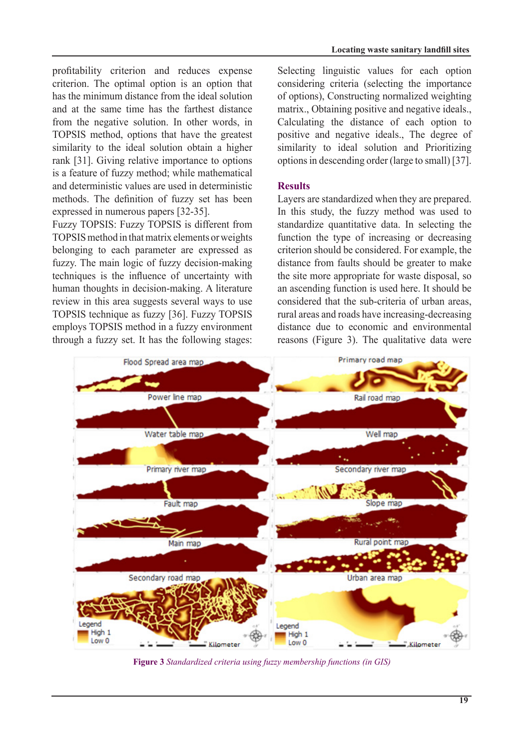profitability criterion and reduces expense criterion. The optimal option is an option that has the minimum distance from the ideal solution and at the same time has the farthest distance from the negative solution. In other words, in TOPSIS method, options that have the greatest similarity to the ideal solution obtain a higher rank [31]. Giving relative importance to options is a feature of fuzzy method; while mathematical and deterministic values are used in deterministic methods. The definition of fuzzy set has been  $expressed in numerous papers [32-35].$ 

Fuzzy TOPSIS: Fuzzy TOPSIS is different from TOPSIS method in that matrix elements or weights belonging to each parameter are expressed as fuzzy. The main logic of fuzzy decision-making techniques is the influence of uncertainty with human thoughts in decision-making. A literature review in this area suggests several ways to use TOPSIS technique as fuzzy [36]. Fuzzy TOPSIS employs TOPSIS method in a fuzzy environment through a fuzzy set. It has the following stages: Selecting linguistic values for each option considering criteria (selecting the importance of options), Constructing normalized weighting matrix., Obtaining positive and negative ideals... Calculating the distance of each option to positive and negative ideals., The degree of similarity to ideal solution and Prioritizing options in descending order (large to small) [37].

# **Results**

Layers are standardized when they are prepared. In this study, the fuzzy method was used to standardize quantitative data. In selecting the function the type of increasing or decreasing criterion should be considered. For example, the distance from faults should be greater to make the site more appropriate for waste disposal, so an ascending function is used here. It should be considered that the sub-criteria of urban areas. rural areas and roads have increasing-decreasing distance due to economic and environmental reasons (Figure 3). The qualitative data were



**Figure 3** Standardized criteria using fuzzy membership functions (in GIS)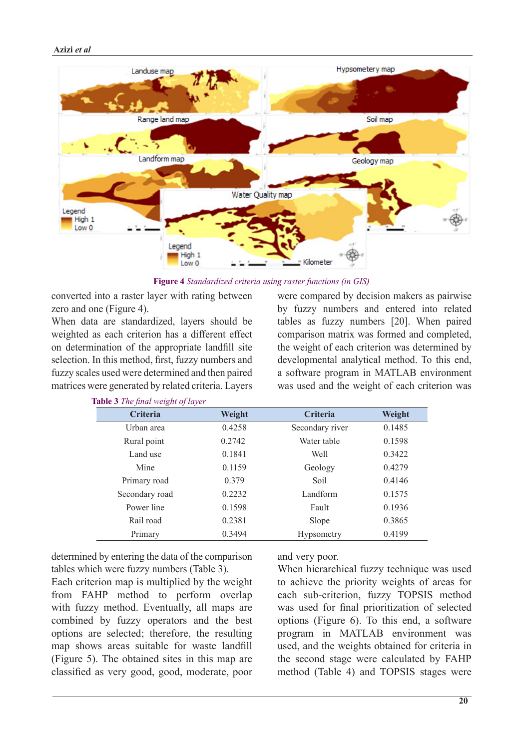

**Figure 4** Standardized criteria using raster functions (in GIS)

converted into a raster layer with rating between zero and one (Figure 4).

When data are standardized, layers should be weighted as each criterion has a different effect on determination of the appropriate landfill site selection. In this method, first, fuzzy numbers and fuzzy scales used were determined and then paired matrices were generated by related criteria. Layers were compared by decision makers as pairwise by fuzzy numbers and entered into related tables as fuzzy numbers [20]. When paired comparison matrix was formed and completed, the weight of each criterion was determined by developmental analytical method. To this end, a software program in MATLAB environment was used and the weight of each criterion was

| <b>Criteria</b> | Weight | Criteria          | Weight |
|-----------------|--------|-------------------|--------|
| Urban area      | 0.4258 | Secondary river   | 0.1485 |
| Rural point     | 0.2742 | Water table       | 0.1598 |
| Land use        | 0.1841 | Well              | 0.3422 |
| Mine            | 0.1159 | Geology           | 0.4279 |
| Primary road    | 0.379  | Soil              | 0.4146 |
| Secondary road  | 0.2232 | Landform          | 0.1575 |
| Power line      | 0.1598 | Fault             | 0.1936 |
| Rail road       | 0.2381 | Slope             | 0.3865 |
| Primary         | 0.3494 | <b>Hypsometry</b> | 0.4199 |

*<u>Table 3 The final weight of laver</u>* 

determined by entering the data of the comparison tables which were fuzzy numbers (Table 3).

Each criterion map is multiplied by the weight from FAHP method to perform overlap with fuzzy method. Eventually, all maps are combined by fuzzy operators and the best options are selected; therefore, the resulting map shows areas suitable for waste landfill  $(Figure 5)$ . The obtained sites in this map are classified as very good, good, moderate, poor and very poor.

When hierarchical fuzzy technique was used to achieve the priority weights of areas for each sub-criterion, fuzzy TOPSIS method was used for final prioritization of selected options (Figure  $6$ ). To this end, a software program in MATLAB environment was used, and the weights obtained for criteria in the second stage were calculated by FAHP method (Table 4) and TOPSIS stages were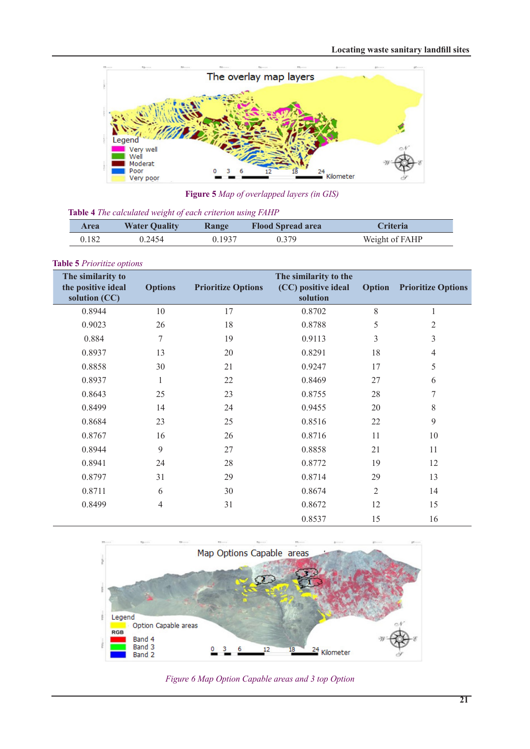

**Figure 5** *Map* of overlapped layers (in GIS)

|  |  |  |  |  |  | Table 4 The calculated weight of each criterion using FAHP |
|--|--|--|--|--|--|------------------------------------------------------------|
|--|--|--|--|--|--|------------------------------------------------------------|

| Area  | <b>Water Quality</b> | <b>Range</b> | <b>Flood Spread area</b> | <b>Criteria</b> |
|-------|----------------------|--------------|--------------------------|-----------------|
| 0.182 | 0.2454               | 0.1937       | በ 379                    | Weight of FAHP  |

```
Table 5 Prioritize options
```

| The similarity to<br>the positive ideal<br>solution (CC) | <b>Options</b> | <b>Prioritize Options</b> | The similarity to the<br>(CC) positive ideal<br>solution | <b>Option</b> | <b>Prioritize Options</b> |
|----------------------------------------------------------|----------------|---------------------------|----------------------------------------------------------|---------------|---------------------------|
| 0.8944                                                   | 10             | 17                        | 0.8702                                                   | 8             |                           |
| 0.9023                                                   | 26             | 18                        | 0.8788                                                   | 5             | 2                         |
| 0.884                                                    | 7              | 19                        | 0.9113                                                   | 3             | 3                         |
| 0.8937                                                   | 13             | 20                        | 0.8291                                                   | 18            | $\overline{4}$            |
| 0.8858                                                   | 30             | 21                        | 0.9247                                                   | 17            | 5                         |
| 0.8937                                                   |                | 22                        | 0.8469                                                   | 27            | 6                         |
| 0.8643                                                   | 25             | 23                        | 0.8755                                                   | 28            | 7                         |
| 0.8499                                                   | 14             | 24                        | 0.9455                                                   | 20            | 8                         |
| 0.8684                                                   | 23             | 25                        | 0.8516                                                   | 22            | 9                         |
| 0.8767                                                   | 16             | 26                        | 0.8716                                                   | 11            | 10                        |
| 0.8944                                                   | 9              | 27                        | 0.8858                                                   | 21            | 11                        |
| 0.8941                                                   | 24             | 28                        | 0.8772                                                   | 19            | 12                        |
| 0.8797                                                   | 31             | 29                        | 0.8714                                                   | 29            | 13                        |
| 0.8711                                                   | 6              | 30                        | 0.8674                                                   | $\mathbf{2}$  | 14                        |
| 0.8499                                                   | 4              | 31                        | 0.8672                                                   | 12            | 15                        |
|                                                          |                |                           | 0.8537                                                   | 15            | 16                        |



**Figure 6 Map Option Capable areas and 3 top Option**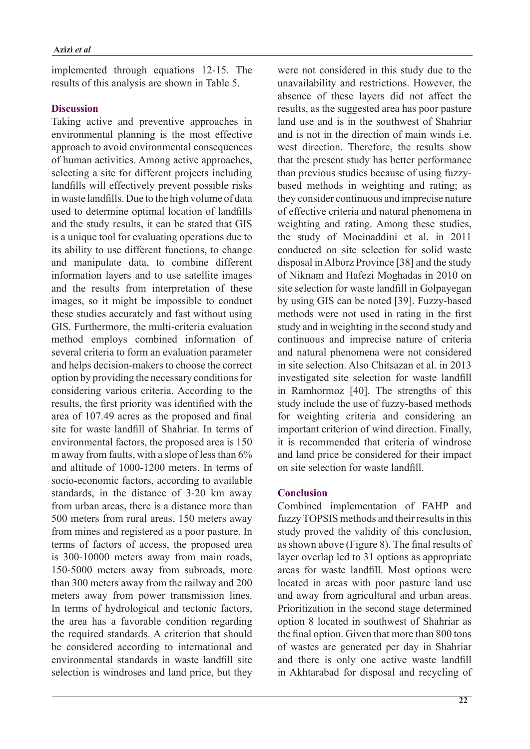implemented through equations 12-15. The results of this analysis are shown in Table 5.

# **Discussion**

Taking active and preventive approaches in environmental planning is the most effective approach to avoid environmental consequences of human activities. Among active approaches, selecting a site for different projects including landfills will effectively prevent possible risks in waste landfills. Due to the high volume of data used to determine optimal location of landfills and the study results, it can be stated that GIS is a unique tool for evaluating operations due to its ability to use different functions, to change and manipulate data, to combine different information layers and to use satellite images and the results from interpretation of these images, so it might be impossible to conduct these studies accurately and fast without using GIS. Furthermore, the multi-criteria evaluation method employs combined information of several criteria to form an evaluation parameter and helps decision-makers to choose the correct option by providing the necessary conditions for considering various criteria. According to the results, the first priority was identified with the area of 107.49 acres as the proposed and final site for waste landfill of Shahriar. In terms of environmental factors, the proposed area is 150 m away from faults, with a slope of less than  $6\%$ and altitude of 1000-1200 meters. In terms of socio-economic factors, according to available standards, in the distance of 3-20 km away from urban areas, there is a distance more than 500 meters from rural areas, 150 meters away from mines and registered as a poor pasture. In terms of factors of access, the proposed area is 300-10000 meters away from main roads, 150-5000 meters away from subroads, more than 300 meters away from the railway and 200 meters away from power transmission lines. In terms of hydrological and tectonic factors, the area has a favorable condition regarding the required standards. A criterion that should be considered according to international and environmental standards in waste landfill site selection is windroses and land price, but they were not considered in this study due to the unavailability and restrictions. However, the absence of these layers did not affect the results, as the suggested area has poor pasture land use and is in the southwest of Shahriar and is not in the direction of main winds i.e. west direction. Therefore, the results show that the present study has better performance based methods in weighting and rating; as than previous studies because of using fuzzythey consider continuous and imprecise nature of effective criteria and natural phenomena in weighting and rating. Among these studies, the study of Moeinaddini et al. in 2011 conducted on site selection for solid waste disposal in Alborz Province [38] and the study of Niknam and Hafezi Moghadas in 2010 on site selection for waste landfill in Golpayegan by using GIS can be noted [39]. Fuzzy-based methods were not used in rating in the first study and in weighting in the second study and continuous and imprecise nature of criteria and natural phenomena were not considered in site selection. Also Chitsazan et al. in 2013 investigated site selection for waste landfill in Ramhormoz  $[40]$ . The strengths of this study include the use of fuzzy-based methods for weighting criteria and considering an important criterion of wind direction. Finally, it is recommended that criteria of windrose and land price be considered for their impact on site selection for waste landfill

# **Conclusion**

Combined implementation of FAHP and fuzzy TOPSIS methods and their results in this study proved the validity of this conclusion. as shown above (Figure 8). The final results of layer overlap led to 31 options as appropriate areas for waste landfill. Most options were located in areas with poor pasture land use and away from agricultural and urban areas. Prioritization in the second stage determined option 8 located in southwest of Shahriar as the final option. Given that more than 800 tons of wastes are generated per day in Shahriar and there is only one active waste landfill in Akhtarabad for disposal and recycling of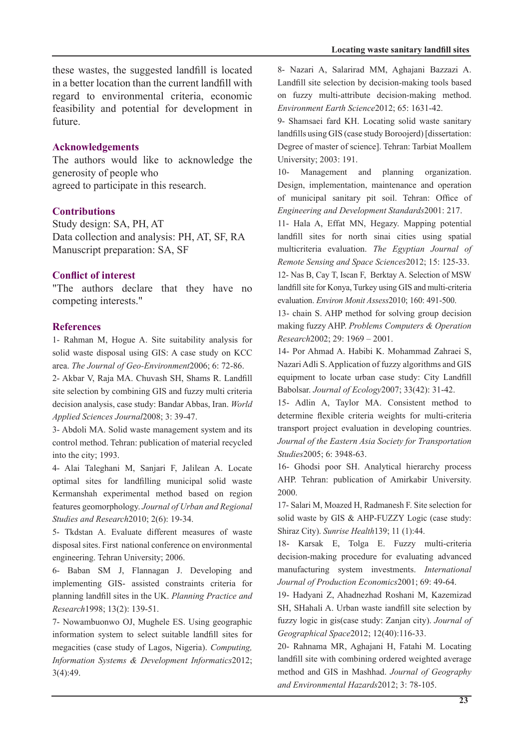these wastes, the suggested landfill is located in a better location than the current landfill with regard to environmental criteria, economic feasibility and potential for development in future.

### **Acknowledgements**

The authors would like to acknowledge the generosity of people who agreed to participate in this research.

### **Contributions**

Study design: SA, PH, AT Data collection and analysis: PH, AT, SF, RA Manuscript preparation: SA, SF

# **Conflict of interest**

"The authors declare that they have no competing interests."

#### **References**

1- Rahman M, Hogue A. Site suitability analysis for solid waste disposal using GIS: A case study on KCC area. The Journal of Geo-Environment2006; 6: 72-86.

2- Akbar V, Raja MA. Chuvash SH, Shams R. Landfill site selection by combining GIS and fuzzy multi criteria decision analysis, case study: Bandar Abbas, Iran. World Applied Sciences Journal 2008: 3: 39-47.

3- Abdoli MA. Solid waste management system and its control method. Tehran: publication of material recycled into the city; 1993.

4- Alai Taleghani M, Sanjari F, Jalilean A. Locate optimal sites for landfilling municipal solid waste Kermanshah experimental method based on region features geomorphology. Journal of Urban and Regional Studies and Research 2010; 2(6): 19-34.

5- Tkdstan A Evaluate different measures of waste disposal sites. First national conference on environmental engineering. Tehran University; 2006.

6- Baban SM J, Flannagan J. Developing and implementing GIS- assisted constraints criteria for planning landfill sites in the UK. Planning Practice and Research1998: 13(2): 139-51.

7- Nowambuonwo OJ, Mughele ES. Using geographic information system to select suitable landfill sites for megacities (case study of Lagos, Nigeria). Computing, Information Systems & Development Informatics2012;  $3(4):49.$ 

8- Nazari A, Salarirad MM, Aghajani Bazzazi A. Landfill site selection by decision-making tools based on fuzzy multi-attribute decision-making method. Environment Earth Science 2012; 65: 1631-42.

9- Shamsaei fard KH. Locating solid waste sanitary landfills using GIS (case study Boroojerd) [dissertation: Degree of master of science]. Tehran: Tarbiat Moallem University; 2003: 191.

10- Management and planning organization. Design, implementation, maintenance and operation of municipal sanitary pit soil. Tehran: Office of **Engineering and Development Standards 2001: 217.** 

11- Hala A, Effat MN, Hegazy. Mapping potential landfill sites for north sinai cities using spatial multicriteria evaluation. *The Egyptian Journal of* Remote Sensing and Space Sciences 2012; 15: 125-33.

12- Nas B, Cay T, Iscan F, Berktay A. Selection of MSW land fill site for Konya, Turkey using GIS and multi-criteria evaluation. *Environ Monit Assess* 2010; 160: 491-500.

13- chain S. AHP method for solving group decision making fuzzy AHP. Problems Computers & Operation Research2002: 29: 1969 – 2001.

14- Por Ahmad A. Habibi K. Mohammad Zahraei S. Nazari Adli S. Application of fuzzy algorithms and GIS equipment to locate urban case study: City Landfill Babolsar. Journal of Ecology 2007; 33(42): 31-42.

15- Adlin A, Taylor MA. Consistent method to determine flexible criteria weights for multi-criteria transport project evaluation in developing countries. Journal of the Eastern Asia Society for Transportation Studies2005; 6: 3948-63.

16- Ghodsi poor SH. Analytical hierarchy process AHP. Tehran: publication of Amirkabir University. 2000.

17- Salari M, Moazed H, Radmanesh F. Site selection for solid waste by GIS & AHP-FUZZY Logic (case study: Shiraz City). Sunrise Health 139; 11 (1):44.

18- Karsak E, Tolga E. Fuzzy multi-criteria decision-making procedure for evaluating advanced manufacturing system investments. *International* Journal of Production Economics 2001: 69: 49-64.

19- Hadyani Z, Ahadnezhad Roshani M, Kazemizad SH, SHahali A. Urban waste iandfill site selection by fuzzy logic in gis(case study: Zanjan city). *Journal of* Geographical Space 2012; 12(40): 116-33.

20- Rahnama MR, Aghajani H, Fatahi M. Locating landfill site with combining ordered weighted average method and GIS in Mashhad. Journal of Geography and Environmental Hazards 2012; 3: 78-105.